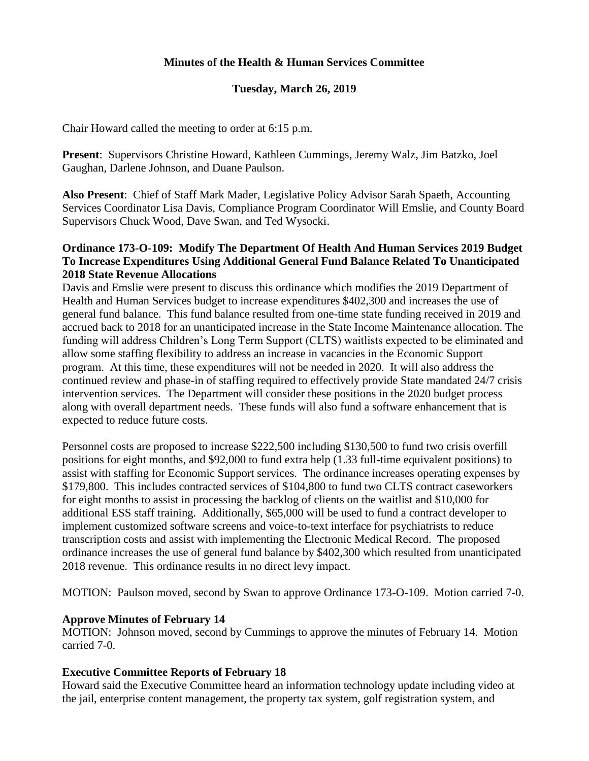# **Minutes of the Health & Human Services Committee**

### **Tuesday, March 26, 2019**

Chair Howard called the meeting to order at 6:15 p.m.

**Present**: Supervisors Christine Howard, Kathleen Cummings, Jeremy Walz, Jim Batzko, Joel Gaughan, Darlene Johnson, and Duane Paulson.

**Also Present**: Chief of Staff Mark Mader, Legislative Policy Advisor Sarah Spaeth, Accounting Services Coordinator Lisa Davis, Compliance Program Coordinator Will Emslie, and County Board Supervisors Chuck Wood, Dave Swan, and Ted Wysocki.

# **Ordinance 173-O-109: Modify The Department Of Health And Human Services 2019 Budget To Increase Expenditures Using Additional General Fund Balance Related To Unanticipated 2018 State Revenue Allocations**

Davis and Emslie were present to discuss this ordinance which modifies the 2019 Department of Health and Human Services budget to increase expenditures \$402,300 and increases the use of general fund balance. This fund balance resulted from one-time state funding received in 2019 and accrued back to 2018 for an unanticipated increase in the State Income Maintenance allocation. The funding will address Children's Long Term Support (CLTS) waitlists expected to be eliminated and allow some staffing flexibility to address an increase in vacancies in the Economic Support program. At this time, these expenditures will not be needed in 2020. It will also address the continued review and phase-in of staffing required to effectively provide State mandated 24/7 crisis intervention services. The Department will consider these positions in the 2020 budget process along with overall department needs. These funds will also fund a software enhancement that is expected to reduce future costs.

Personnel costs are proposed to increase \$222,500 including \$130,500 to fund two crisis overfill positions for eight months, and \$92,000 to fund extra help (1.33 full-time equivalent positions) to assist with staffing for Economic Support services. The ordinance increases operating expenses by \$179,800. This includes contracted services of \$104,800 to fund two CLTS contract caseworkers for eight months to assist in processing the backlog of clients on the waitlist and \$10,000 for additional ESS staff training. Additionally, \$65,000 will be used to fund a contract developer to implement customized software screens and voice-to-text interface for psychiatrists to reduce transcription costs and assist with implementing the Electronic Medical Record. The proposed ordinance increases the use of general fund balance by \$402,300 which resulted from unanticipated 2018 revenue. This ordinance results in no direct levy impact.

MOTION: Paulson moved, second by Swan to approve Ordinance 173-O-109. Motion carried 7-0.

#### **Approve Minutes of February 14**

MOTION: Johnson moved, second by Cummings to approve the minutes of February 14. Motion carried 7-0.

#### **Executive Committee Reports of February 18**

Howard said the Executive Committee heard an information technology update including video at the jail, enterprise content management, the property tax system, golf registration system, and